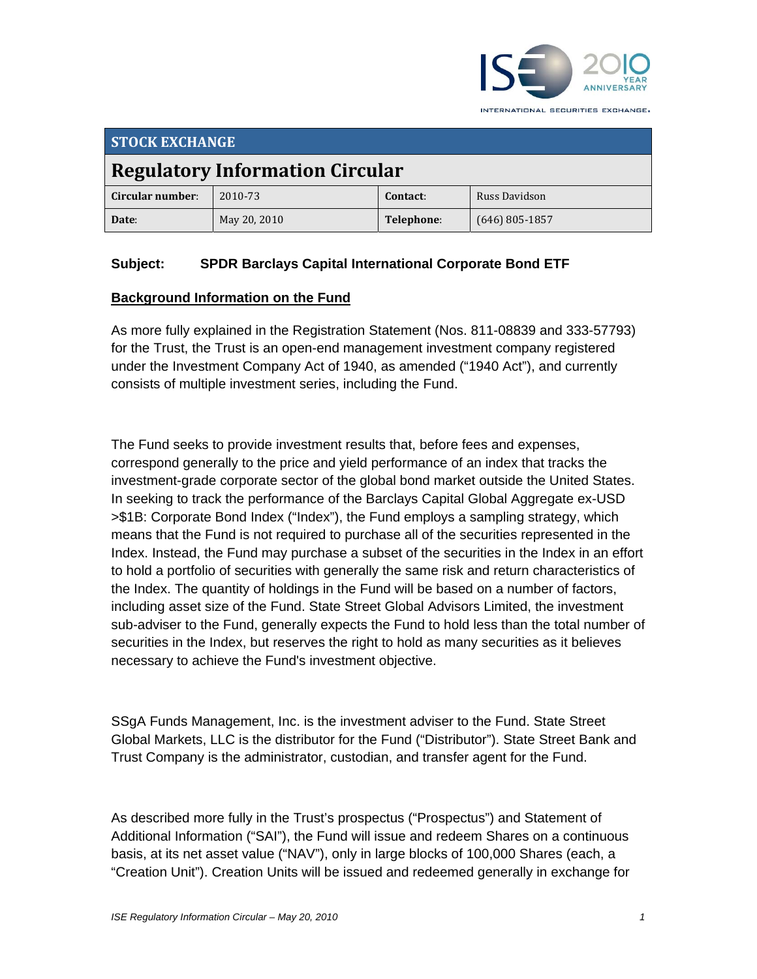

| <b>STOCK EXCHANGE</b>                  |              |            |                  |  |
|----------------------------------------|--------------|------------|------------------|--|
| <b>Regulatory Information Circular</b> |              |            |                  |  |
| Circular number:                       | 2010-73      | Contact:   | Russ Davidson    |  |
| Date:                                  | May 20, 2010 | Telephone: | $(646)$ 805-1857 |  |

# **Subject: SPDR Barclays Capital International Corporate Bond ETF**

#### **Background Information on the Fund**

As more fully explained in the Registration Statement (Nos. 811-08839 and 333-57793) for the Trust, the Trust is an open-end management investment company registered under the Investment Company Act of 1940, as amended ("1940 Act"), and currently consists of multiple investment series, including the Fund.

The Fund seeks to provide investment results that, before fees and expenses, correspond generally to the price and yield performance of an index that tracks the investment-grade corporate sector of the global bond market outside the United States. In seeking to track the performance of the Barclays Capital Global Aggregate ex-USD >\$1B: Corporate Bond Index ("Index"), the Fund employs a sampling strategy, which means that the Fund is not required to purchase all of the securities represented in the Index. Instead, the Fund may purchase a subset of the securities in the Index in an effort to hold a portfolio of securities with generally the same risk and return characteristics of the Index. The quantity of holdings in the Fund will be based on a number of factors, including asset size of the Fund. State Street Global Advisors Limited, the investment sub-adviser to the Fund, generally expects the Fund to hold less than the total number of securities in the Index, but reserves the right to hold as many securities as it believes necessary to achieve the Fund's investment objective.

SSgA Funds Management, Inc. is the investment adviser to the Fund. State Street Global Markets, LLC is the distributor for the Fund ("Distributor"). State Street Bank and Trust Company is the administrator, custodian, and transfer agent for the Fund.

As described more fully in the Trust's prospectus ("Prospectus") and Statement of Additional Information ("SAI"), the Fund will issue and redeem Shares on a continuous basis, at its net asset value ("NAV"), only in large blocks of 100,000 Shares (each, a "Creation Unit"). Creation Units will be issued and redeemed generally in exchange for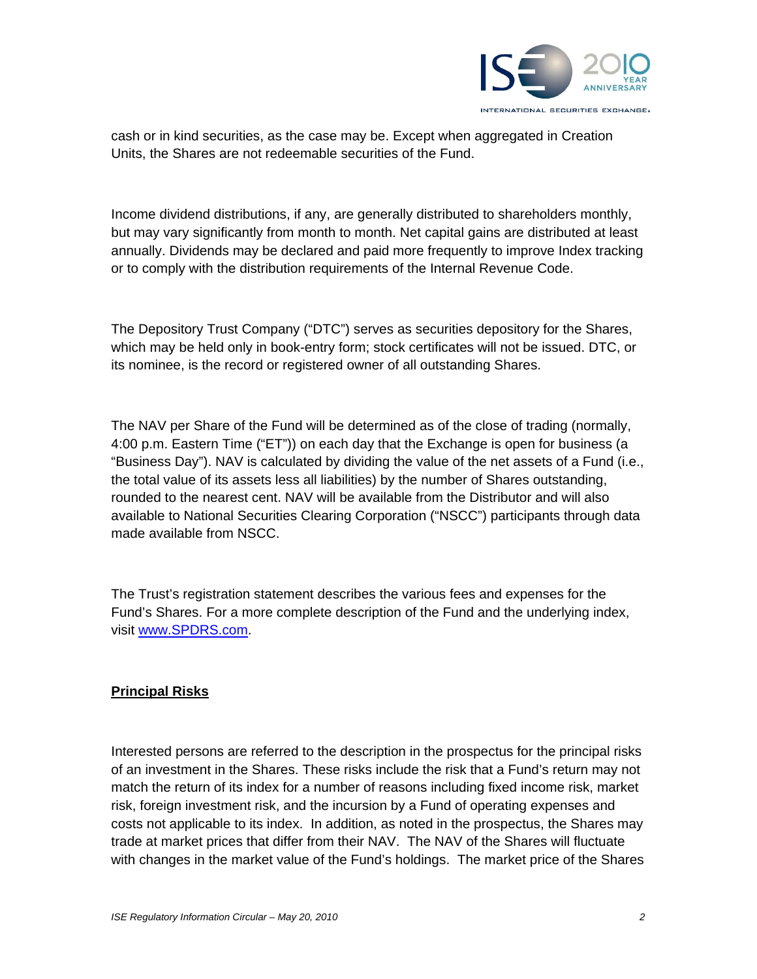

cash or in kind securities, as the case may be. Except when aggregated in Creation Units, the Shares are not redeemable securities of the Fund.

Income dividend distributions, if any, are generally distributed to shareholders monthly, but may vary significantly from month to month. Net capital gains are distributed at least annually. Dividends may be declared and paid more frequently to improve Index tracking or to comply with the distribution requirements of the Internal Revenue Code.

The Depository Trust Company ("DTC") serves as securities depository for the Shares, which may be held only in book-entry form; stock certificates will not be issued. DTC, or its nominee, is the record or registered owner of all outstanding Shares.

The NAV per Share of the Fund will be determined as of the close of trading (normally, 4:00 p.m. Eastern Time ("ET")) on each day that the Exchange is open for business (a "Business Day"). NAV is calculated by dividing the value of the net assets of a Fund (i.e., the total value of its assets less all liabilities) by the number of Shares outstanding, rounded to the nearest cent. NAV will be available from the Distributor and will also available to National Securities Clearing Corporation ("NSCC") participants through data made available from NSCC.

The Trust's registration statement describes the various fees and expenses for the Fund's Shares. For a more complete description of the Fund and the underlying index, visit www.SPDRS.com.

# **Principal Risks**

Interested persons are referred to the description in the prospectus for the principal risks of an investment in the Shares. These risks include the risk that a Fund's return may not match the return of its index for a number of reasons including fixed income risk, market risk, foreign investment risk, and the incursion by a Fund of operating expenses and costs not applicable to its index. In addition, as noted in the prospectus, the Shares may trade at market prices that differ from their NAV. The NAV of the Shares will fluctuate with changes in the market value of the Fund's holdings. The market price of the Shares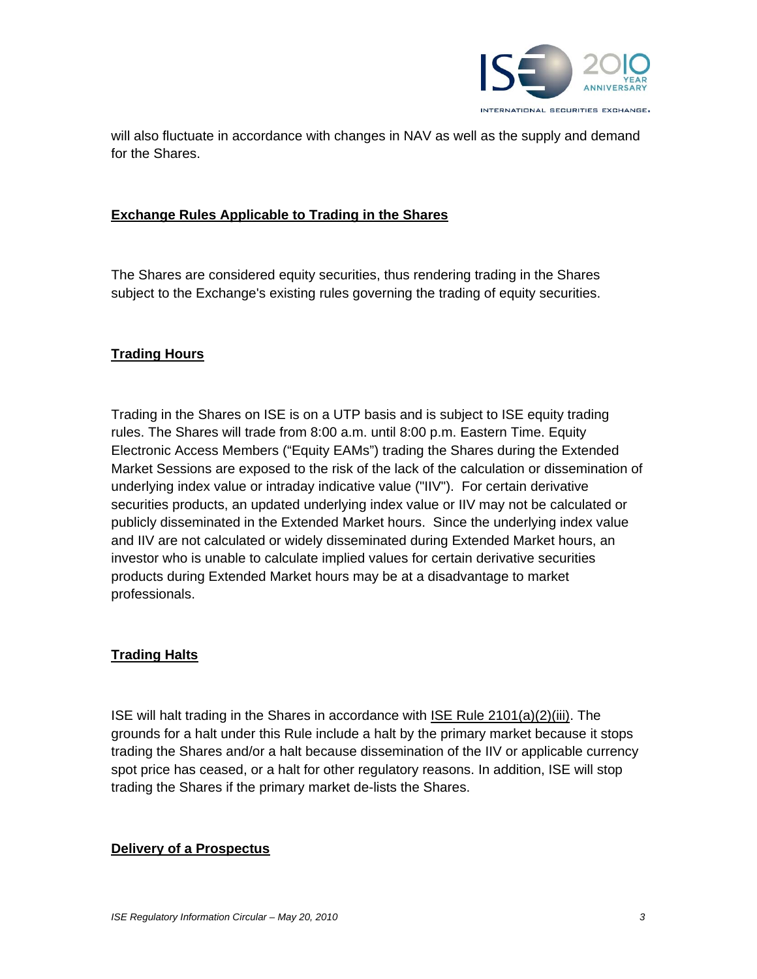

will also fluctuate in accordance with changes in NAV as well as the supply and demand for the Shares.

#### **Exchange Rules Applicable to Trading in the Shares**

The Shares are considered equity securities, thus rendering trading in the Shares subject to the Exchange's existing rules governing the trading of equity securities.

#### **Trading Hours**

Trading in the Shares on ISE is on a UTP basis and is subject to ISE equity trading rules. The Shares will trade from 8:00 a.m. until 8:00 p.m. Eastern Time. Equity Electronic Access Members ("Equity EAMs") trading the Shares during the Extended Market Sessions are exposed to the risk of the lack of the calculation or dissemination of underlying index value or intraday indicative value ("IIV"). For certain derivative securities products, an updated underlying index value or IIV may not be calculated or publicly disseminated in the Extended Market hours. Since the underlying index value and IIV are not calculated or widely disseminated during Extended Market hours, an investor who is unable to calculate implied values for certain derivative securities products during Extended Market hours may be at a disadvantage to market professionals.

## **Trading Halts**

ISE will halt trading in the Shares in accordance with ISE Rule 2101(a)(2)(iii). The grounds for a halt under this Rule include a halt by the primary market because it stops trading the Shares and/or a halt because dissemination of the IIV or applicable currency spot price has ceased, or a halt for other regulatory reasons. In addition, ISE will stop trading the Shares if the primary market de-lists the Shares.

#### **Delivery of a Prospectus**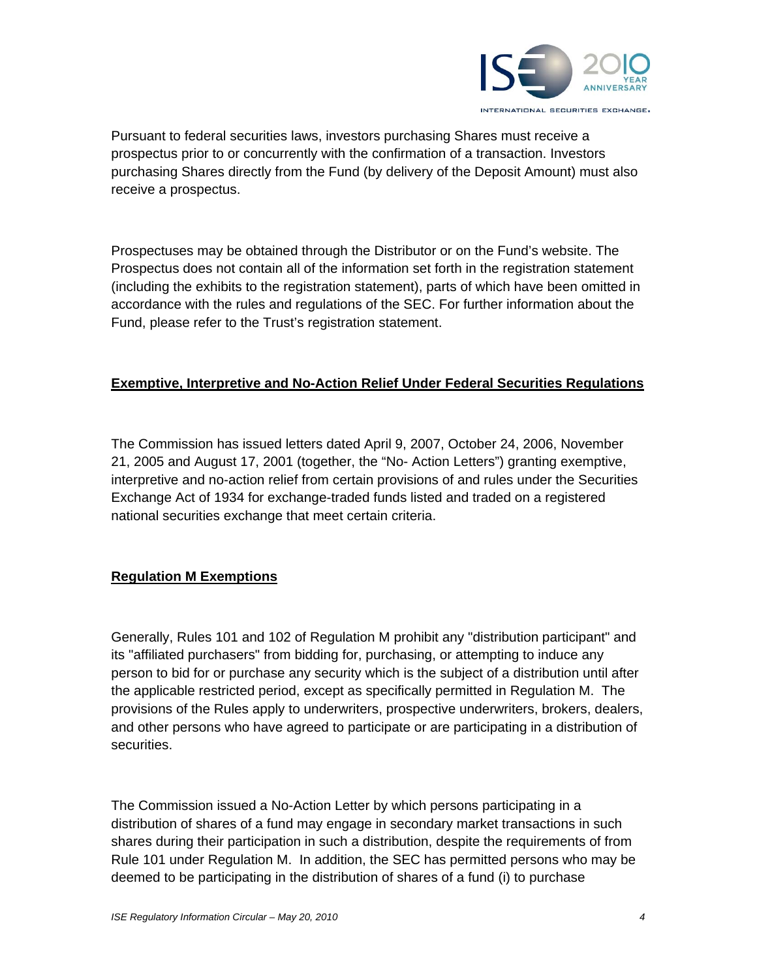

Pursuant to federal securities laws, investors purchasing Shares must receive a prospectus prior to or concurrently with the confirmation of a transaction. Investors purchasing Shares directly from the Fund (by delivery of the Deposit Amount) must also receive a prospectus.

Prospectuses may be obtained through the Distributor or on the Fund's website. The Prospectus does not contain all of the information set forth in the registration statement (including the exhibits to the registration statement), parts of which have been omitted in accordance with the rules and regulations of the SEC. For further information about the Fund, please refer to the Trust's registration statement.

## **Exemptive, Interpretive and No-Action Relief Under Federal Securities Regulations**

The Commission has issued letters dated April 9, 2007, October 24, 2006, November 21, 2005 and August 17, 2001 (together, the "No- Action Letters") granting exemptive, interpretive and no-action relief from certain provisions of and rules under the Securities Exchange Act of 1934 for exchange-traded funds listed and traded on a registered national securities exchange that meet certain criteria.

# **Regulation M Exemptions**

Generally, Rules 101 and 102 of Regulation M prohibit any "distribution participant" and its "affiliated purchasers" from bidding for, purchasing, or attempting to induce any person to bid for or purchase any security which is the subject of a distribution until after the applicable restricted period, except as specifically permitted in Regulation M. The provisions of the Rules apply to underwriters, prospective underwriters, brokers, dealers, and other persons who have agreed to participate or are participating in a distribution of securities.

The Commission issued a No-Action Letter by which persons participating in a distribution of shares of a fund may engage in secondary market transactions in such shares during their participation in such a distribution, despite the requirements of from Rule 101 under Regulation M. In addition, the SEC has permitted persons who may be deemed to be participating in the distribution of shares of a fund (i) to purchase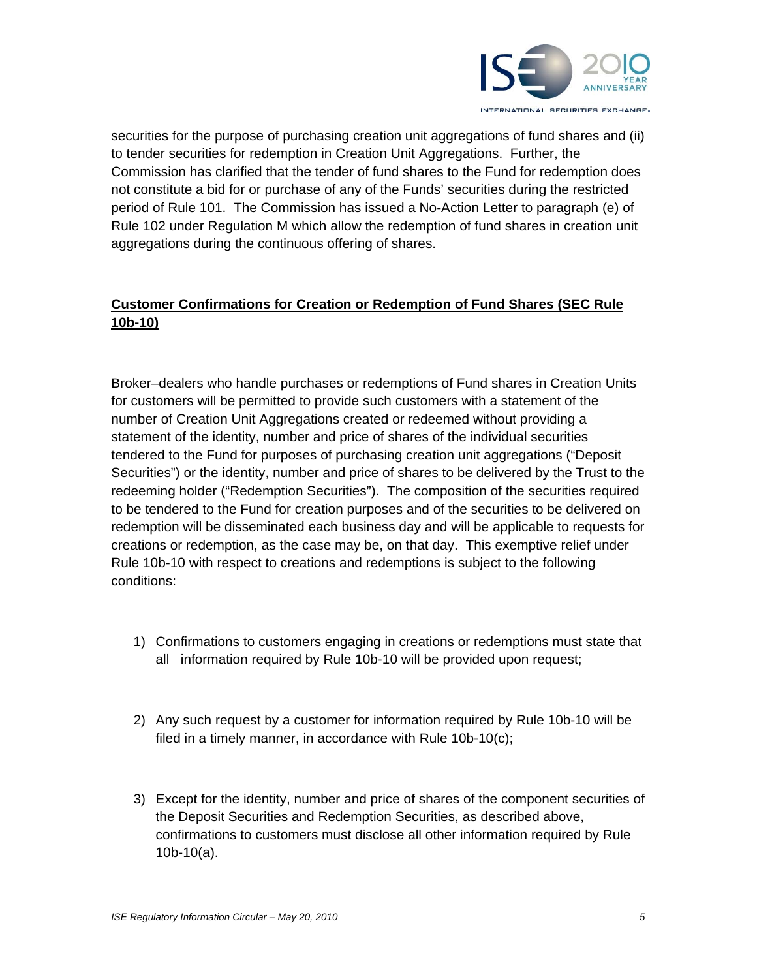

securities for the purpose of purchasing creation unit aggregations of fund shares and (ii) to tender securities for redemption in Creation Unit Aggregations. Further, the Commission has clarified that the tender of fund shares to the Fund for redemption does not constitute a bid for or purchase of any of the Funds' securities during the restricted period of Rule 101. The Commission has issued a No-Action Letter to paragraph (e) of Rule 102 under Regulation M which allow the redemption of fund shares in creation unit aggregations during the continuous offering of shares.

# **Customer Confirmations for Creation or Redemption of Fund Shares (SEC Rule 10b-10)**

Broker–dealers who handle purchases or redemptions of Fund shares in Creation Units for customers will be permitted to provide such customers with a statement of the number of Creation Unit Aggregations created or redeemed without providing a statement of the identity, number and price of shares of the individual securities tendered to the Fund for purposes of purchasing creation unit aggregations ("Deposit Securities") or the identity, number and price of shares to be delivered by the Trust to the redeeming holder ("Redemption Securities"). The composition of the securities required to be tendered to the Fund for creation purposes and of the securities to be delivered on redemption will be disseminated each business day and will be applicable to requests for creations or redemption, as the case may be, on that day. This exemptive relief under Rule 10b-10 with respect to creations and redemptions is subject to the following conditions:

- 1) Confirmations to customers engaging in creations or redemptions must state that all information required by Rule 10b-10 will be provided upon request;
- 2) Any such request by a customer for information required by Rule 10b-10 will be filed in a timely manner, in accordance with Rule 10b-10(c);
- 3) Except for the identity, number and price of shares of the component securities of the Deposit Securities and Redemption Securities, as described above, confirmations to customers must disclose all other information required by Rule 10b-10(a).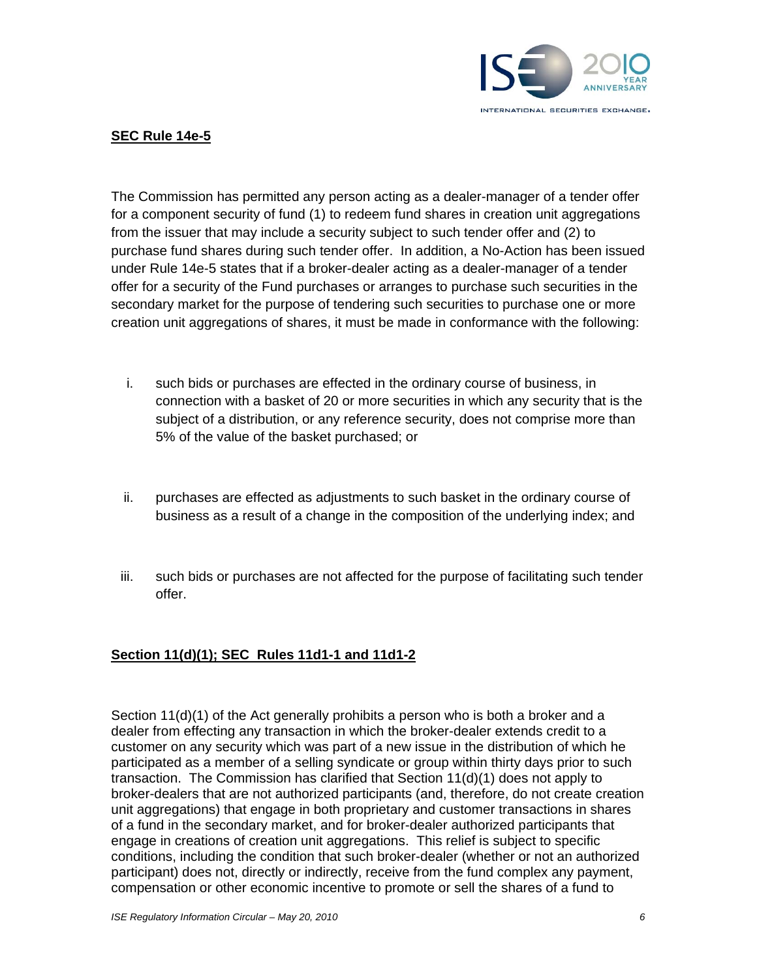

## **SEC Rule 14e-5**

The Commission has permitted any person acting as a dealer-manager of a tender offer for a component security of fund (1) to redeem fund shares in creation unit aggregations from the issuer that may include a security subject to such tender offer and (2) to purchase fund shares during such tender offer. In addition, a No-Action has been issued under Rule 14e-5 states that if a broker-dealer acting as a dealer-manager of a tender offer for a security of the Fund purchases or arranges to purchase such securities in the secondary market for the purpose of tendering such securities to purchase one or more creation unit aggregations of shares, it must be made in conformance with the following:

- i. such bids or purchases are effected in the ordinary course of business, in connection with a basket of 20 or more securities in which any security that is the subject of a distribution, or any reference security, does not comprise more than 5% of the value of the basket purchased; or
- ii. purchases are effected as adjustments to such basket in the ordinary course of business as a result of a change in the composition of the underlying index; and
- iii. such bids or purchases are not affected for the purpose of facilitating such tender offer.

# **Section 11(d)(1); SEC Rules 11d1-1 and 11d1-2**

Section 11(d)(1) of the Act generally prohibits a person who is both a broker and a dealer from effecting any transaction in which the broker-dealer extends credit to a customer on any security which was part of a new issue in the distribution of which he participated as a member of a selling syndicate or group within thirty days prior to such transaction. The Commission has clarified that Section 11(d)(1) does not apply to broker-dealers that are not authorized participants (and, therefore, do not create creation unit aggregations) that engage in both proprietary and customer transactions in shares of a fund in the secondary market, and for broker-dealer authorized participants that engage in creations of creation unit aggregations. This relief is subject to specific conditions, including the condition that such broker-dealer (whether or not an authorized participant) does not, directly or indirectly, receive from the fund complex any payment, compensation or other economic incentive to promote or sell the shares of a fund to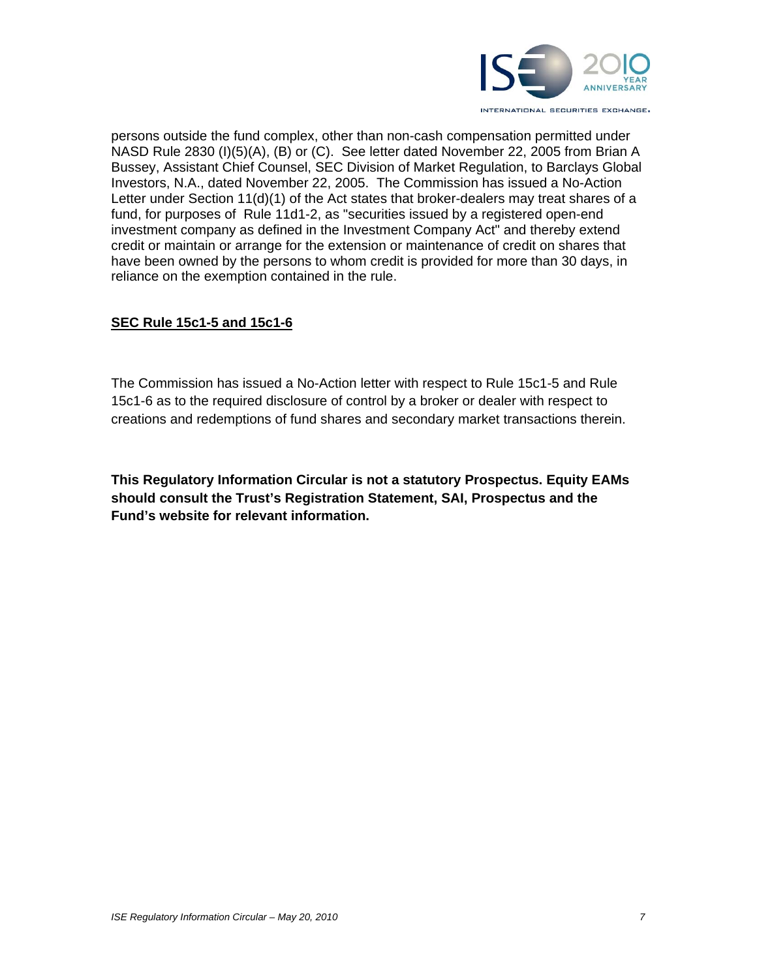

persons outside the fund complex, other than non-cash compensation permitted under NASD Rule 2830 (I)(5)(A), (B) or (C). See letter dated November 22, 2005 from Brian A Bussey, Assistant Chief Counsel, SEC Division of Market Regulation, to Barclays Global Investors, N.A., dated November 22, 2005. The Commission has issued a No-Action Letter under Section 11(d)(1) of the Act states that broker-dealers may treat shares of a fund, for purposes of Rule 11d1-2, as "securities issued by a registered open-end investment company as defined in the Investment Company Act" and thereby extend credit or maintain or arrange for the extension or maintenance of credit on shares that have been owned by the persons to whom credit is provided for more than 30 days, in reliance on the exemption contained in the rule.

## **SEC Rule 15c1-5 and 15c1-6**

The Commission has issued a No-Action letter with respect to Rule 15c1-5 and Rule 15c1-6 as to the required disclosure of control by a broker or dealer with respect to creations and redemptions of fund shares and secondary market transactions therein.

**This Regulatory Information Circular is not a statutory Prospectus. Equity EAMs should consult the Trust's Registration Statement, SAI, Prospectus and the Fund's website for relevant information.**